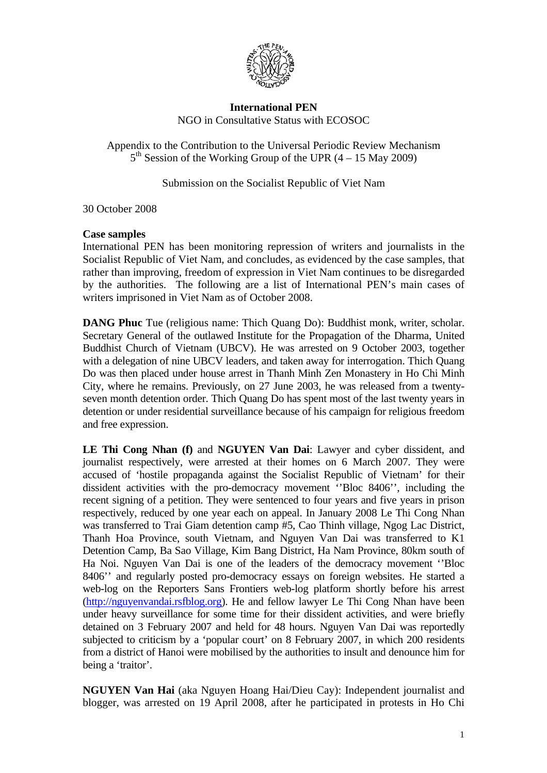

## **International PEN**  NGO in Consultative Status with ECOSOC

Appendix to the Contribution to the Universal Periodic Review Mechanism  $5<sup>th</sup>$  Session of the Working Group of the UPR  $(4 – 15$  May 2009)

Submission on the Socialist Republic of Viet Nam

30 October 2008

## **Case samples**

International PEN has been monitoring repression of writers and journalists in the Socialist Republic of Viet Nam, and concludes, as evidenced by the case samples, that rather than improving, freedom of expression in Viet Nam continues to be disregarded by the authorities. The following are a list of International PEN's main cases of writers imprisoned in Viet Nam as of October 2008.

**DANG Phuc** Tue (religious name: Thich Quang Do): Buddhist monk, writer, scholar. Secretary General of the outlawed Institute for the Propagation of the Dharma, United Buddhist Church of Vietnam (UBCV). He was arrested on 9 October 2003, together with a delegation of nine UBCV leaders, and taken away for interrogation. Thich Quang Do was then placed under house arrest in Thanh Minh Zen Monastery in Ho Chi Minh City, where he remains. Previously, on 27 June 2003, he was released from a twentyseven month detention order. Thich Quang Do has spent most of the last twenty years in detention or under residential surveillance because of his campaign for religious freedom and free expression.

**LE Thi Cong Nhan (f)** and **NGUYEN Van Dai**: Lawyer and cyber dissident, and journalist respectively, were arrested at their homes on 6 March 2007. They were accused of 'hostile propaganda against the Socialist Republic of Vietnam' for their dissident activities with the pro-democracy movement ''Bloc 8406'', including the recent signing of a petition. They were sentenced to four years and five years in prison respectively, reduced by one year each on appeal. In January 2008 Le Thi Cong Nhan was transferred to Trai Giam detention camp #5, Cao Thinh village, Ngog Lac District, Thanh Hoa Province, south Vietnam, and Nguyen Van Dai was transferred to K1 Detention Camp, Ba Sao Village, Kim Bang District, Ha Nam Province, 80km south of Ha Noi. Nguyen Van Dai is one of the leaders of the democracy movement ''Bloc 8406'' and regularly posted pro-democracy essays on foreign websites. He started a web-log on the Reporters Sans Frontiers web-log platform shortly before his arrest ([http://nguyenvandai.rsfblog.org](http://nguyenvandai.rsfblog.org/)). He and fellow lawyer Le Thi Cong Nhan have been under heavy surveillance for some time for their dissident activities, and were briefly detained on 3 February 2007 and held for 48 hours. Nguyen Van Dai was reportedly subjected to criticism by a 'popular court' on 8 February 2007, in which 200 residents from a district of Hanoi were mobilised by the authorities to insult and denounce him for being a 'traitor'.

**NGUYEN Van Hai** (aka Nguyen Hoang Hai/Dieu Cay): Independent journalist and blogger, was arrested on 19 April 2008, after he participated in protests in Ho Chi